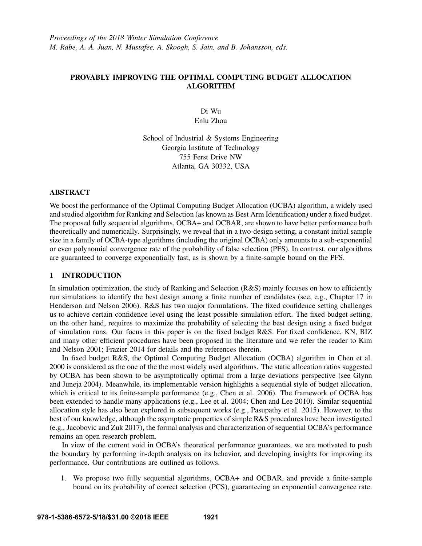# PROVABLY IMPROVING THE OPTIMAL COMPUTING BUDGET ALLOCATION ALGORITHM

Di Wu Enlu Zhou

School of Industrial & Systems Engineering Georgia Institute of Technology 755 Ferst Drive NW Atlanta, GA 30332, USA

### ABSTRACT

We boost the performance of the Optimal Computing Budget Allocation (OCBA) algorithm, a widely used and studied algorithm for Ranking and Selection (as known as Best Arm Identification) under a fixed budget. The proposed fully sequential algorithms, OCBA+ and OCBAR, are shown to have better performance both theoretically and numerically. Surprisingly, we reveal that in a two-design setting, a constant initial sample size in a family of OCBA-type algorithms (including the original OCBA) only amounts to a sub-exponential or even polynomial convergence rate of the probability of false selection (PFS). In contrast, our algorithms are guaranteed to converge exponentially fast, as is shown by a finite-sample bound on the PFS.

### 1 INTRODUCTION

In simulation optimization, the study of Ranking and Selection (R&S) mainly focuses on how to efficiently run simulations to identify the best design among a finite number of candidates (see, e.g., Chapter 17 in Henderson and Nelson 2006). R&S has two major formulations. The fixed confidence setting challenges us to achieve certain confidence level using the least possible simulation effort. The fixed budget setting, on the other hand, requires to maximize the probability of selecting the best design using a fixed budget of simulation runs. Our focus in this paper is on the fixed budget R&S. For fixed confidence, KN, BIZ and many other efficient procedures have been proposed in the literature and we refer the reader to Kim and Nelson 2001; Frazier 2014 for details and the references therein.

In fixed budget R&S, the Optimal Computing Budget Allocation (OCBA) algorithm in Chen et al. 2000 is considered as the one of the the most widely used algorithms. The static allocation ratios suggested by OCBA has been shown to be asymptotically optimal from a large deviations perspective (see Glynn and Juneja 2004). Meanwhile, its implementable version highlights a sequential style of budget allocation, which is critical to its finite-sample performance (e.g., Chen et al. 2006). The framework of OCBA has been extended to handle many applications (e.g., Lee et al. 2004; Chen and Lee 2010). Similar sequential allocation style has also been explored in subsequent works (e.g., Pasupathy et al. 2015). However, to the best of our knowledge, although the asymptotic properties of simple R&S procedures have been investigated (e.g., Jacobovic and Zuk 2017), the formal analysis and characterization of sequential OCBA's performance remains an open research problem.

In view of the current void in OCBA's theoretical performance guarantees, we are motivated to push the boundary by performing in-depth analysis on its behavior, and developing insights for improving its performance. Our contributions are outlined as follows.

1. We propose two fully sequential algorithms, OCBA+ and OCBAR, and provide a finite-sample bound on its probability of correct selection (PCS), guaranteeing an exponential convergence rate.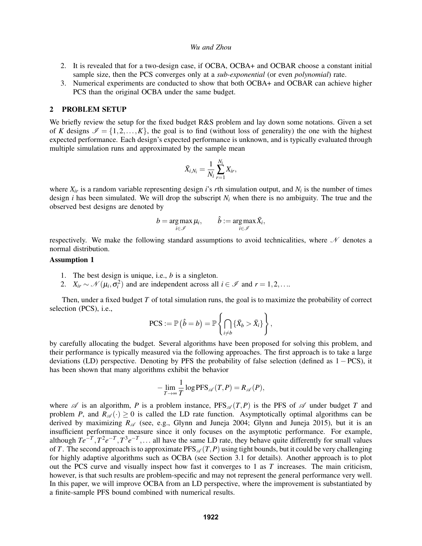- 2. It is revealed that for a two-design case, if OCBA, OCBA+ and OCBAR choose a constant initial sample size, then the PCS converges only at a *sub-exponential* (or even *polynomial*) rate.
- 3. Numerical experiments are conducted to show that both OCBA+ and OCBAR can achieve higher PCS than the original OCBA under the same budget.

# 2 PROBLEM SETUP

We briefly review the setup for the fixed budget R&S problem and lay down some notations. Given a set of *K* designs  $\mathscr{I} = \{1, 2, ..., K\}$ , the goal is to find (without loss of generality) the one with the highest expected performance. Each design's expected performance is unknown, and is typically evaluated through multiple simulation runs and approximated by the sample mean

$$
\bar{X}_{i,N_i} = \frac{1}{N_i} \sum_{r=1}^{N_i} X_{ir},
$$

where  $X_i$  is a random variable representing design *i*'s *r*th simulation output, and  $N_i$  is the number of times design *i* has been simulated. We will drop the subscript *N<sup>i</sup>* when there is no ambiguity. The true and the observed best designs are denoted by

$$
b = \underset{i \in \mathscr{I}}{\arg \max} \mu_i, \qquad \hat{b} := \underset{i \in \mathscr{I}}{\arg \max} \bar{X}_i,
$$

respectively. We make the following standard assumptions to avoid technicalities, where  $\mathcal N$  denotes a normal distribution.

# Assumption 1

- 1. The best design is unique, i.e., *b* is a singleton.
- 2. *X<sub>ir</sub>* ∼  $\mathcal{N}(\mu_i, \sigma_i^2)$  and are independent across all  $i \in \mathcal{I}$  and  $r = 1, 2, \dots$

Then, under a fixed budget *T* of total simulation runs, the goal is to maximize the probability of correct selection (PCS), i.e.,

$$
\text{PCS} := \mathbb{P}\left(\hat{b} = b\right) = \mathbb{P}\left\{\bigcap_{i \neq b} \{\bar{X}_b > \bar{X}_i\}\right\},\
$$

by carefully allocating the budget. Several algorithms have been proposed for solving this problem, and their performance is typically measured via the following approaches. The first approach is to take a large deviations (LD) perspective. Denoting by PFS the probability of false selection (defined as 1−PCS), it has been shown that many algorithms exhibit the behavior

$$
-\lim_{T\to\infty}\frac{1}{T}\log\mathrm{PFS}_{\mathscr{A}}(T,P)=R_{\mathscr{A}}(P),
$$

where  $\mathscr A$  is an algorithm, *P* is a problem instance, PFS<sub> $\mathscr A$ </sub> $(T, P)$  is the PFS of  $\mathscr A$  under budget *T* and problem *P*, and  $R_{\mathscr{A}}(\cdot) \ge 0$  is called the LD rate function. Asymptotically optimal algorithms can be derived by maximizing  $R_{\mathscr{A}}$  (see, e.g., Glynn and Juneja 2004; Glynn and Juneja 2015), but it is an insufficient performance measure since it only focuses on the asymptotic performance. For example, although  $Te^{-T}$ ,  $T^2e^{-T}$ ,  $T^3e^{-T}$ ,... all have the same LD rate, they behave quite differently for small values of *T*. The second approach is to approximate PFS<sub>A</sub> $(T, P)$  using tight bounds, but it could be very challenging for highly adaptive algorithms such as OCBA (see Section 3.1 for details). Another approach is to plot out the PCS curve and visually inspect how fast it converges to 1 as *T* increases. The main criticism, however, is that such results are problem-specific and may not represent the general performance very well. In this paper, we will improve OCBA from an LD perspective, where the improvement is substantiated by a finite-sample PFS bound combined with numerical results.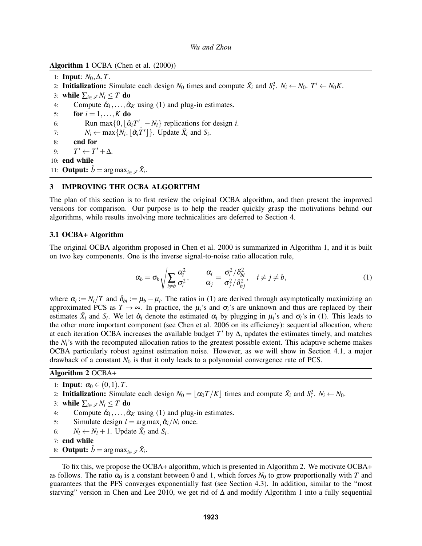# Algorithm 1 OCBA (Chen et al. (2000))

- 1: Input: *N*0,∆,*T*.
- 2: **Initialization:** Simulate each design  $N_0$  times and compute  $\bar{X}_i$  and  $S_i^2$ .  $N_i \leftarrow N_0$ .  $T' \leftarrow N_0 K$ .
- 3: while  $\sum_{i \in \mathcal{I}} N_i \leq T$  do
- 4: Compute  $\hat{\alpha}_1, \dots, \hat{\alpha}_K$  using (1) and plug-in estimates.
- 5: **for**  $i = 1, ..., K$  **do**
- 6: Run max $\{0, \lfloor \hat{\alpha}_i T' \rfloor N_i\}$  replications for design *i*.
- 7:  $N_i \leftarrow \max\{N_i, \lfloor \hat{\alpha}_i T' \rfloor\}$ . Update  $\bar{X}_i$  and  $S_i$ .
- 8: end for

```
9: T
        v' \leftarrow T' + \Delta.
```
10: end while

11: **Output:**  $\hat{b} = \arg \max_{i \in \mathcal{I}} \bar{X}_i$ .

# 3 IMPROVING THE OCBA ALGORITHM

The plan of this section is to first review the original OCBA algorithm, and then present the improved versions for comparison. Our purpose is to help the reader quickly grasp the motivations behind our algorithms, while results involving more technicalities are deferred to Section 4.

### 3.1 OCBA+ Algorithm

The original OCBA algorithm proposed in Chen et al. 2000 is summarized in Algorithm 1, and it is built on two key components. One is the inverse signal-to-noise ratio allocation rule,

$$
\alpha_b = \sigma_b \sqrt{\sum_{i \neq b} \frac{\alpha_i^2}{\sigma_i^2}}, \qquad \frac{\alpha_i}{\alpha_j} = \frac{\sigma_i^2/\delta_{bi}^2}{\sigma_j^2/\delta_{bj}^2}, \quad i \neq j \neq b,
$$
\n(1)

where  $\alpha_i := N_i/T$  and  $\delta_{bi} := \mu_b - \mu_i$ . The ratios in (1) are derived through asymptotically maximizing an approximated PCS as  $T \to \infty$ . In practice, the  $\mu_i$ 's and  $\sigma_i$ 's are unknown and thus are replaced by their estimates  $\bar{X}_i$  and  $S_i$ . We let  $\hat{\alpha}_i$  denote the estimated  $\alpha_i$  by plugging in  $\mu_i$ 's and  $\sigma_i$ 's in (1). This leads to the other more important component (see Chen et al. 2006 on its efficiency): sequential allocation, where at each iteration OCBA increases the available budget  $T'$  by  $\Delta$ , updates the estimates timely, and matches the *Ni*'s with the recomputed allocation ratios to the greatest possible extent. This adaptive scheme makes OCBA particularly robust against estimation noise. However, as we will show in Section 4.1, a major drawback of a constant *N*<sup>0</sup> is that it only leads to a polynomial convergence rate of PCS.

#### Algorithm 2 OCBA+

- 1: **Input:**  $\alpha_0 \in (0,1), T$ .
- 2: **Initialization:** Simulate each design  $N_0 = \lfloor \alpha_0 T/K \rfloor$  times and compute  $\bar{X}_i$  and  $S_i^2$ .  $N_i \leftarrow N_0$ .
- 3: while  $\sum_{i \in \mathcal{I}} N_i \leq T$  do
- 4: Compute  $\hat{\alpha}_1, \dots, \hat{\alpha}_K$  using (1) and plug-in estimates.
- 5: Simulate design  $l = \arg \max_i \hat{\alpha}_i / N_i$  once.
- 6:  $N_l \leftarrow N_l + 1$ . Update  $\bar{X}_l$  and  $S_l$ .
- 7: end while
- 8: **Output:**  $\hat{b} = \arg \max_{i \in \mathcal{I}} \bar{X}_i$ .

To fix this, we propose the OCBA+ algorithm, which is presented in Algorithm 2. We motivate OCBA+ as follows. The ratio  $\alpha_0$  is a constant between 0 and 1, which forces  $N_0$  to grow proportionally with *T* and guarantees that the PFS converges exponentially fast (see Section 4.3). In addition, similar to the "most starving" version in Chen and Lee 2010, we get rid of ∆ and modify Algorithm 1 into a fully sequential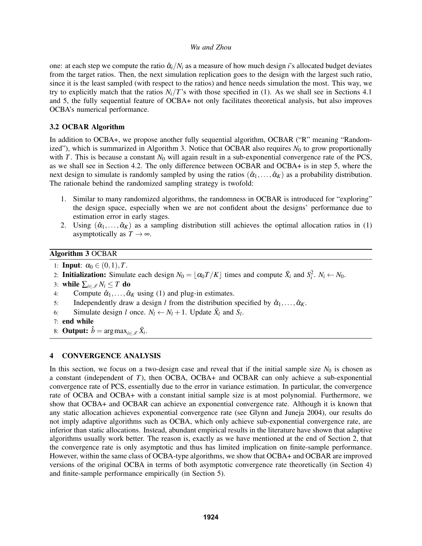one: at each step we compute the ratio  $\hat{\alpha}_i/N_i$  as a measure of how much design *i*'s allocated budget deviates from the target ratios. Then, the next simulation replication goes to the design with the largest such ratio, since it is the least sampled (with respect to the ratios) and hence needs simulation the most. This way, we try to explicitly match that the ratios  $N_i/T$ 's with those specified in (1). As we shall see in Sections 4.1 and 5, the fully sequential feature of OCBA+ not only facilitates theoretical analysis, but also improves OCBA's numerical performance.

# 3.2 OCBAR Algorithm

In addition to OCBA+, we propose another fully sequential algorithm, OCBAR ("R" meaning "Randomized"), which is summarized in Algorithm 3. Notice that OCBAR also requires  $N_0$  to grow proportionally with *T*. This is because a constant  $N_0$  will again result in a sub-exponential convergence rate of the PCS, as we shall see in Section 4.2. The only difference between OCBAR and OCBA+ is in step 5, where the next design to simulate is randomly sampled by using the ratios  $(\hat{\alpha}_1, \dots, \hat{\alpha}_K)$  as a probability distribution. The rationale behind the randomized sampling strategy is twofold:

- 1. Similar to many randomized algorithms, the randomness in OCBAR is introduced for "exploring" the design space, especially when we are not confident about the designs' performance due to estimation error in early stages.
- 2. Using  $(\hat{\alpha}_1,\ldots,\hat{\alpha}_K)$  as a sampling distribution still achieves the optimal allocation ratios in (1) asymptotically as  $T \rightarrow \infty$ .

# Algorithm 3 OCBAR

- 1: **Input:**  $\alpha_0 \in (0,1), T$ .
- 2: **Initialization:** Simulate each design  $N_0 = \lfloor \alpha_0 T/K \rfloor$  times and compute  $\bar{X}_i$  and  $S_i^2$ .  $N_i \leftarrow N_0$ .
- 3: while  $\sum_{i \in \mathcal{I}} N_i \leq T$  do
- 4: Compute  $\hat{\alpha}_1, \dots, \hat{\alpha}_K$  using (1) and plug-in estimates.
- 5: Independently draw a design *l* from the distribution specified by  $\hat{\alpha}_1, \ldots, \hat{\alpha}_K$ .
- 6: Simulate design *l* once.  $N_l \leftarrow N_l + 1$ . Update  $\bar{X}_l$  and  $S_l$ .
- 7: end while
- 8: **Output:**  $\hat{b} = \arg \max_{i \in \mathcal{I}} \bar{X}_i$ .

# 4 CONVERGENCE ANALYSIS

In this section, we focus on a two-design case and reveal that if the initial sample size  $N_0$  is chosen as a constant (independent of *T*), then OCBA, OCBA+ and OCBAR can only achieve a sub-exponential convergence rate of PCS, essentially due to the error in variance estimation. In particular, the convergence rate of OCBA and OCBA+ with a constant initial sample size is at most polynomial. Furthermore, we show that OCBA+ and OCBAR can achieve an exponential convergence rate. Although it is known that any static allocation achieves exponential convergence rate (see Glynn and Juneja 2004), our results do not imply adaptive algorithms such as OCBA, which only achieve sub-exponential convergence rate, are inferior than static allocations. Instead, abundant empirical results in the literature have shown that adaptive algorithms usually work better. The reason is, exactly as we have mentioned at the end of Section 2, that the convergence rate is only asymptotic and thus has limited implication on finite-sample performance. However, within the same class of OCBA-type algorithms, we show that OCBA+ and OCBAR are improved versions of the original OCBA in terms of both asymptotic convergence rate theoretically (in Section 4) and finite-sample performance empirically (in Section 5).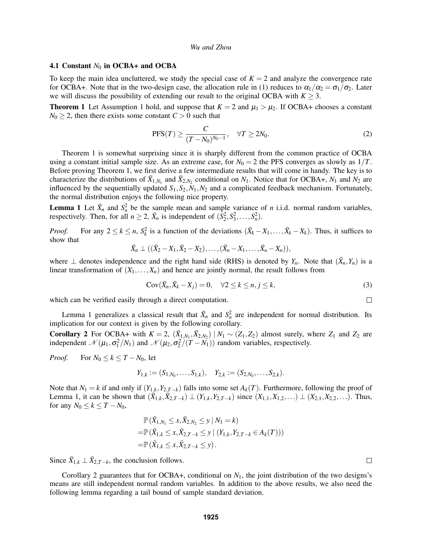#### 4.1 Constant  $N_0$  in OCBA+ and OCBA

To keep the main idea uncluttered, we study the special case of  $K = 2$  and analyze the convergence rate for OCBA+. Note that in the two-design case, the allocation rule in (1) reduces to  $\alpha_1/\alpha_2 = \sigma_1/\sigma_2$ . Later we will discuss the possibility of extending our result to the original OCBA with  $K \geq 3$ .

**Theorem 1** Let Assumption 1 hold, and suppose that  $K = 2$  and  $\mu_1 > \mu_2$ . If OCBA+ chooses a constant  $N_0 \geq 2$ , then there exists some constant  $C > 0$  such that

$$
PFS(T) \ge \frac{C}{(T - N_0)^{N_0 - 1}}, \quad \forall T \ge 2N_0. \tag{2}
$$

Theorem 1 is somewhat surprising since it is sharply different from the common practice of OCBA using a constant initial sample size. As an extreme case, for  $N_0 = 2$  the PFS converges as slowly as  $1/T$ . Before proving Theorem 1, we first derive a few intermediate results that will come in handy. The key is to characterize the distributions of  $\bar{X}_{1,N_1}$  and  $\bar{X}_{2,N_2}$  conditional on  $N_1$ . Notice that for OCBA+,  $N_1$  and  $N_2$  are influenced by the sequentially updated  $S_1$ ,  $S_2$ ,  $N_1$ ,  $N_2$  and a complicated feedback mechanism. Fortunately, the normal distribution enjoys the following nice property.

**Lemma 1** Let  $\bar{X}_n$  and  $S_n^2$  be the sample mean and sample variance of *n* i.i.d. normal random variables, respectively. Then, for all  $n \ge 2$ ,  $\bar{X}_n$  is independent of  $(\bar{S}_2^2, \bar{S}_3^2, \ldots, \bar{S}_n^2)$ .

*Proof.* For any  $2 \le k \le n$ ,  $S_k^2$  is a function of the deviations  $(\bar{X}_k - X_1, \ldots, \bar{X}_k - X_k)$ . Thus, it suffices to show that

$$
\bar{X}_n \perp ((\bar{X}_2 - X_1, \bar{X}_2 - X_2), \ldots, (\bar{X}_n - X_1, \ldots, \bar{X}_n - X_n)),
$$

where  $\perp$  denotes independence and the right hand side (RHS) is denoted by  $Y_n$ . Note that  $(\bar{X}_n, Y_n)$  is a linear transformation of  $(X_1, \ldots, X_n)$  and hence are jointly normal, the result follows from

$$
Cov(\bar{X}_n, \bar{X}_k - X_j) = 0, \quad \forall 2 \le k \le n, j \le k,
$$
\n(3)

which can be verified easily through a direct computation.

Lemma 1 generalizes a classical result that  $\bar{X}_n$  and  $S_n^2$  are independent for normal distribution. Its implication for our context is given by the following corollary.

Corollary 2 For OCBA+ with  $K = 2$ ,  $(\bar{X}_{1,N_1}, \bar{X}_{2,N_2}) | N_1 \sim (Z_1, Z_2)$  almost surely, where  $Z_1$  and  $Z_2$  are independent  $\mathcal{N}(\mu_1, \sigma_1^2/N_1)$  and  $\mathcal{N}(\mu_2, \sigma_2^2/(T-N_1))$  random variables, respectively.

*Proof.* For  $N_0 \leq k \leq T - N_0$ , let

$$
Y_{1,k} := (S_{1,N_0}, \ldots, S_{1,k}), \quad Y_{2,k} := (S_{2,N_0}, \ldots, S_{2,k}).
$$

Note that  $N_1 = k$  if and only if  $(Y_{1,k}, Y_{2,T-k})$  falls into some set  $A_k(T)$ . Furthermore, following the proof of Lemma 1, it can be shown that  $(\bar{X}_{1,k}, \bar{X}_{2,T-k})$  ⊥  $(Y_{1,k}, Y_{2,T-k})$  since  $(X_{1,1}, X_{1,2}, ...)$  ⊥  $(X_{2,1}, X_{2,2}, ...)$ . Thus, for any  $N_0 \leq k \leq T - N_0$ ,

$$
\mathbb{P}(\bar{X}_{1,N_1} \leq x, \bar{X}_{2,N_2} \leq y \mid N_1 = k) \n= \mathbb{P}(\bar{X}_{1,k} \leq x, \bar{X}_{2,T-k} \leq y \mid (Y_{1,k}, Y_{2,T-k} \in A_k(T))) \n= \mathbb{P}(\bar{X}_{1,k} \leq x, \bar{X}_{2,T-k} \leq y).
$$

Since  $\bar{X}_{1,k} \perp \bar{X}_{2,T-k}$ , the conclusion follows.

Corollary 2 guarantees that for OCBA+, conditional on  $N_1$ , the joint distribution of the two designs's means are still independent normal random variables. In addition to the above results, we also need the following lemma regarding a tail bound of sample standard deviation.

 $\Box$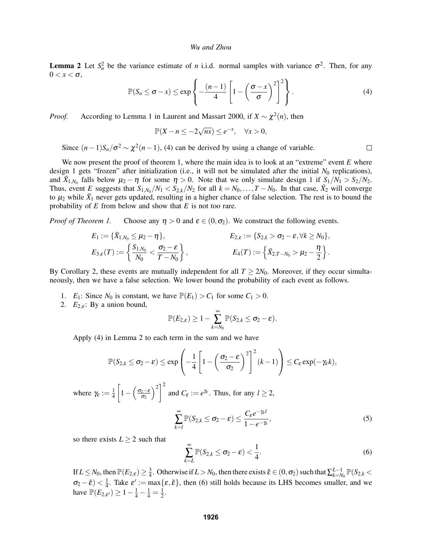**Lemma 2** Let  $S_n^2$  be the variance estimate of *n* i.i.d. normal samples with variance  $\sigma^2$ . Then, for any  $0 < x < \sigma$ .

$$
\mathbb{P}(S_n \leq \sigma - x) \leq \exp\left\{-\frac{(n-1)}{4}\left[1-\left(\frac{\sigma - x}{\sigma}\right)^2\right]^2\right\}.
$$
 (4)

*Proof.* According to Lemma 1 in Laurent and Massart 2000, if  $X \sim \chi^2(n)$ , then

 $\mathbb{P}(X - n \leq -2\sqrt{2})$  $\overline{nx}$ )  $\leq e^{-x}$ ,  $\forall x > 0$ ,

Since  $(n-1)S_n/\sigma^2 \sim \chi^2(n-1)$ , (4) can be derived by using a change of variable.

We now present the proof of theorem 1, where the main idea is to look at an "extreme" event *E* where design 1 gets "frozen" after initialization (i.e., it will not be simulated after the initial  $N_0$  replications), and  $\bar{X}_{1,N_0}$  falls below  $\mu_2 - \eta$  for some  $\eta > 0$ . Note that we only simulate design 1 if  $S_1/N_1 > S_2/N_2$ . Thus, event *E* suggests that  $S_{1,N_0}/N_1 < S_{2,k}/N_2$  for all  $k = N_0, \ldots, T - N_0$ . In that case,  $\bar{X}_2$  will converge to  $\mu_2$  while  $\bar{X}_1$  never gets updated, resulting in a higher chance of false selection. The rest is to bound the probability of *E* from below and show that *E* is not too rare.

*Proof of Theorem 1.* Choose any  $\eta > 0$  and  $\varepsilon \in (0, \sigma_2)$ . We construct the following events.

$$
E_1 := \{\bar{X}_{1,N_0} \le \mu_2 - \eta\},
$$
  
\n
$$
E_{2,\varepsilon} := \{S_{2,k} > \sigma_2 - \varepsilon, \forall k \ge N_0\},
$$
  
\n
$$
E_{3,\varepsilon}(T) := \left\{\frac{S_{1,N_0}}{N_0} < \frac{\sigma_2 - \varepsilon}{T - N_0}\right\},
$$
  
\n
$$
E_4(T) := \left\{\bar{X}_{2,T-N_0} > \mu_2 - \frac{\eta}{2}\right\}.
$$

By Corollary 2, these events are mutually independent for all  $T \geq 2N_0$ . Moreover, if they occur simultaneously, then we have a false selection. We lower bound the probability of each event as follows.

- 1. *E*<sub>1</sub>: Since *N*<sup>0</sup> is constant, we have  $\mathbb{P}(E_1) > C_1$  for some  $C_1 > 0$ .
- 2.  $E_{2,\varepsilon}$ : By a union bound,

$$
\mathbb{P}(E_{2,\varepsilon}) \geq 1 - \sum_{k=N_0}^{\infty} \mathbb{P}(S_{2,k} \leq \sigma_2 - \varepsilon).
$$

Apply (4) in Lemma 2 to each term in the sum and we have

$$
\mathbb{P}(S_{2,k} \leq \sigma_2 - \varepsilon) \leq \exp\left(-\frac{1}{4}\left[1-\left(\frac{\sigma_2-\varepsilon}{\sigma_2}\right)^2\right]^2(k-1)\right) \leq C_{\varepsilon}\exp(-\gamma_{\varepsilon}k),
$$

where  $\gamma_{\varepsilon} := \frac{1}{4}$ 4  $\left[1-\left(\frac{\sigma_2-\varepsilon}{\sigma_2}\right)\right]$  $\sigma_2$  $\left[2\right]^{2}$ and  $C_{\varepsilon} := e^{\gamma_{\varepsilon}}$ . Thus, for any  $l \geq 2$ ,

$$
\sum_{k=l}^{\infty} \mathbb{P}(S_{2,k} \leq \sigma_2 - \varepsilon) \leq \frac{C_{\varepsilon} e^{-\gamma_{\varepsilon} l}}{1 - e^{-\gamma_{\varepsilon}}},\tag{5}
$$

so there exists  $L \geq 2$  such that

$$
\sum_{k=L}^{\infty} \mathbb{P}(S_{2,k} \leq \sigma_2 - \varepsilon) < \frac{1}{4}.\tag{6}
$$

If  $L \leq N_0$ , then  $\mathbb{P}(E_{2,\varepsilon}) \geq \frac{3}{4}$  $\frac{3}{4}$ . Otherwise if  $L > N_0$ , then there exists  $\tilde{\varepsilon} \in (0, \sigma_2)$  such that  $\sum_{k=N_0}^{L-1} \mathbb{P}(S_{2,k} <$  $\vert \sigma_2 - \tilde{\epsilon}\vert < \frac{1}{4}$  $\frac{1}{4}$ . Take  $\varepsilon' := \max{\{\varepsilon, \tilde{\varepsilon}\}\}\$ , then (6) still holds because its LHS becomes smaller, and we have  $\mathbb{P}(E_{2,\varepsilon'}) \geq 1 - \frac{1}{4} - \frac{1}{4} = \frac{1}{2}$  $rac{1}{2}$ .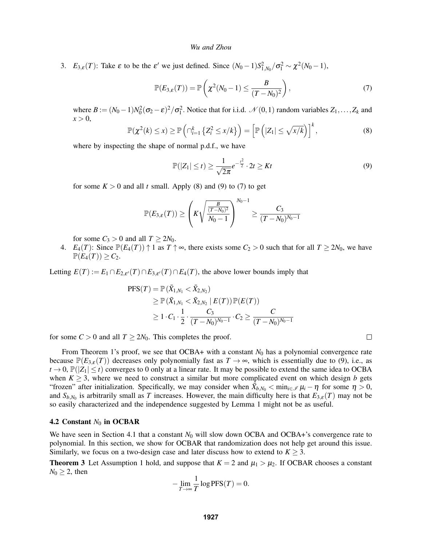3.  $E_{3,\varepsilon}(T)$ : Take  $\varepsilon$  to be the  $\varepsilon'$  we just defined. Since  $(N_0 - 1)S_{1,N_0}^2/\sigma_1^2 \sim \chi^2(N_0 - 1)$ ,

$$
\mathbb{P}(E_{3,\varepsilon}(T)) = \mathbb{P}\left(\chi^2(N_0 - 1) \leq \frac{B}{(T - N_0)^2}\right),\tag{7}
$$

where  $B := (N_0 - 1)N_0^2(\sigma_2 - \varepsilon)^2/\sigma_1^2$ . Notice that for i.i.d.  $\mathcal{N}(0,1)$  random variables  $Z_1, \ldots, Z_k$  and  $x > 0$ .

$$
\mathbb{P}(\chi^2(k) \le x) \ge \mathbb{P}\left(\bigcap_{i=1}^k \left\{Z_i^2 \le x/k\right\}\right) = \left[\mathbb{P}\left(|Z_1| \le \sqrt{x/k}\right)\right]^k,\tag{8}
$$

where by inspecting the shape of normal p.d.f., we have

$$
\mathbb{P}(|Z_1| \le t) \ge \frac{1}{\sqrt{2\pi}} e^{-\frac{t^2}{2}} \cdot 2t \ge Kt \tag{9}
$$

 $\Box$ 

for some  $K > 0$  and all *t* small. Apply (8) and (9) to (7) to get

$$
\mathbb{P}(E_{3,\varepsilon}(T)) \ge \left( K \sqrt{\frac{B}{(T-N_0)^2}} \right)^{N_0-1} \ge \frac{C_3}{(T-N_0)^{N_0-1}}
$$

for some  $C_3 > 0$  and all  $T \geq 2N_0$ .

4. *E*<sub>4</sub>(*T*): Since  $\mathbb{P}(E_4(T)) \uparrow 1$  as  $T \uparrow \infty$ , there exists some  $C_2 > 0$  such that for all  $T \ge 2N_0$ , we have  $\mathbb{P}(E_4(T)) > C_2.$ 

Letting  $E(T) := E_1 \cap E_{2,\varepsilon'}(T) \cap E_{3,\varepsilon'}(T) \cap E_4(T)$ , the above lower bounds imply that

$$
\begin{aligned} \text{PFS}(T) &= \mathbb{P}\left(\bar{X}_{1,N_1} < \bar{X}_{2,N_2}\right) \\ &\geq \mathbb{P}\left(\bar{X}_{1,N_1} < \bar{X}_{2,N_2} \mid E(T)\right) \mathbb{P}(E(T)) \\ &\geq 1 \cdot C_1 \cdot \frac{1}{2} \cdot \frac{C_3}{(T - N_0)^{N_0 - 1}} \cdot C_2 \geq \frac{C}{(T - N_0)^{N_0 - 1}} \end{aligned}
$$

for some  $C > 0$  and all  $T \geq 2N_0$ . This completes the proof.

From Theorem 1's proof, we see that OCBA+ with a constant  $N_0$  has a polynomial convergence rate because  $\mathbb{P}(E_{3,\varepsilon}(T))$  decreases only polynomially fast as  $T \to \infty$ , which is essentially due to (9), i.e., as  $t \to 0$ ,  $\mathbb{P}(|Z_1| \le t)$  converges to 0 only at a linear rate. It may be possible to extend the same idea to OCBA when  $K \geq 3$ , where we need to construct a similar but more complicated event on which design *b* gets "frozen" after initialization. Specifically, we may consider when  $\bar{X}_{b,N_0} < \min_{i \in \mathcal{I}} \mu_i - \eta$  for some  $\eta > 0$ , and  $S_{b,N_0}$  is arbitrarily small as *T* increases. However, the main difficulty here is that  $E_{3,\varepsilon}(T)$  may not be so easily characterized and the independence suggested by Lemma 1 might not be as useful.

#### 4.2 Constant  $N_0$  in OCBAR

We have seen in Section 4.1 that a constant  $N_0$  will slow down OCBA and OCBA+'s convergence rate to polynomial. In this section, we show for OCBAR that randomization does not help get around this issue. Similarly, we focus on a two-design case and later discuss how to extend to  $K \geq 3$ .

**Theorem 3** Let Assumption 1 hold, and suppose that  $K = 2$  and  $\mu_1 > \mu_2$ . If OCBAR chooses a constant  $N_0 \geq 2$ , then

$$
-\lim_{T \to \infty} \frac{1}{T} \log PFS(T) = 0.
$$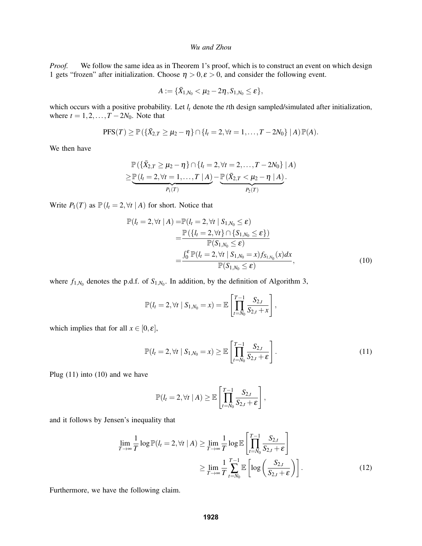*Proof.* We follow the same idea as in Theorem 1's proof, which is to construct an event on which design 1 gets "frozen" after initialization. Choose  $\eta > 0, \varepsilon > 0$ , and consider the following event.

$$
A:=\{\bar{X}_{1,N_0}<\mu_2-2\eta\,,S_{1,N_0}\leq\varepsilon\},
$$

which occurs with a positive probability. Let  $l_t$  denote the *t*th design sampled/simulated after initialization, where  $t = 1, 2, \ldots, T - 2N_0$ . Note that

$$
PFS(T) \geq \mathbb{P}(\{\bar{X}_{2,T} \geq \mu_2 - \eta\} \cap \{l_t = 2, \forall t = 1, ..., T - 2N_0\} | A) \mathbb{P}(A).
$$

We then have

$$
\mathbb{P}(\{\bar{X}_{2,T} \geq \mu_2 - \eta\} \cap \{l_t = 2, \forall t = 2,\ldots, T - 2N_0\} | A) \geq \underbrace{\mathbb{P}(l_t = 2, \forall t = 1,\ldots, T | A)}_{P_1(T)} - \underbrace{\mathbb{P}(\bar{X}_{2,T} < \mu_2 - \eta | A)}_{P_2(T)}.
$$

Write  $P_1(T)$  as  $\mathbb{P}(l_t = 2, \forall t | A)$  for short. Notice that

$$
\mathbb{P}(l_{t} = 2, \forall t | A) = \mathbb{P}(l_{t} = 2, \forall t | S_{1,N_{0}} \le \varepsilon)
$$
\n
$$
= \frac{\mathbb{P}(\{l_{t} = 2, \forall t \} \cap \{S_{1,N_{0}} \le \varepsilon\})}{\mathbb{P}(S_{1,N_{0}} \le \varepsilon)}
$$
\n
$$
= \frac{\int_{0}^{\varepsilon} \mathbb{P}(l_{t} = 2, \forall t | S_{1,N_{0}} = x) f_{S_{1,N_{0}}}(x) dx}{\mathbb{P}(S_{1,N_{0}} \le \varepsilon)},
$$
\n(10)

where  $f_{1,N_0}$  denotes the p.d.f. of  $S_{1,N_0}$ . In addition, by the definition of Algorithm 3,

$$
\mathbb{P}(l_t = 2, \forall t \mid S_{1,N_0} = x) = \mathbb{E}\left[\prod_{t=N_0}^{T-1} \frac{S_{2,t}}{S_{2,t}+x}\right],
$$

which implies that for all  $x \in [0, \varepsilon]$ ,

$$
\mathbb{P}(l_t = 2, \forall t \mid S_{1,N_0} = x) \ge \mathbb{E}\left[\prod_{t=N_0}^{T-1} \frac{S_{2,t}}{S_{2,t} + \varepsilon}\right].
$$
\n(11)

Plug  $(11)$  into  $(10)$  and we have

$$
\mathbb{P}(l_t=2,\forall t \mid A) \geq \mathbb{E}\left[\prod_{t=N_0}^{T-1}\frac{S_{2,t}}{S_{2,t}+\varepsilon}\right],
$$

and it follows by Jensen's inequality that

$$
\lim_{T \to \infty} \frac{1}{T} \log \mathbb{P}(l_t = 2, \forall t | A) \ge \lim_{T \to \infty} \frac{1}{T} \log \mathbb{E} \left[ \prod_{t=N_0}^{T-1} \frac{S_{2,t}}{S_{2,t} + \varepsilon} \right]
$$
\n
$$
\ge \lim_{T \to \infty} \frac{1}{T} \sum_{t=N_0}^{T-1} \mathbb{E} \left[ \log \left( \frac{S_{2,t}}{S_{2,t} + \varepsilon} \right) \right].
$$
\n(12)

Furthermore, we have the following claim.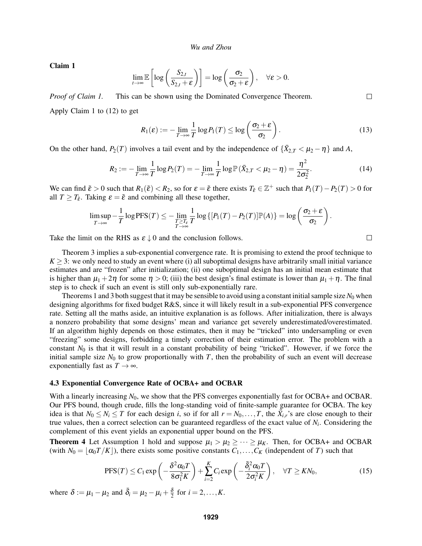Claim 1

$$
\lim_{t\to\infty}\mathbb{E}\left[\log\left(\frac{S_{2,t}}{S_{2,t}+\varepsilon}\right)\right]=\log\left(\frac{\sigma_2}{\sigma_2+\varepsilon}\right),\quad\forall\varepsilon>0.
$$

*Proof of Claim 1.* This can be shown using the Dominated Convergence Theorem.

Apply Claim 1 to (12) to get

$$
R_1(\varepsilon) := -\lim_{T \to \infty} \frac{1}{T} \log P_1(T) \le \log \left( \frac{\sigma_2 + \varepsilon}{\sigma_2} \right). \tag{13}
$$

On the other hand,  $P_2(T)$  involves a tail event and by the independence of  $\{\bar{X}_{2,T} < \mu_2 - \eta\}$  and A,

$$
R_2 := -\lim_{T \to \infty} \frac{1}{T} \log P_2(T) = -\lim_{T \to \infty} \frac{1}{T} \log \mathbb{P}(\bar{X}_{2,T} < \mu_2 - \eta) = \frac{\eta^2}{2\sigma_2^2}.\tag{14}
$$

We can find  $\tilde{\varepsilon} > 0$  such that  $R_1(\tilde{\varepsilon}) < R_2$ , so for  $\varepsilon = \tilde{\varepsilon}$  there exists  $T_{\tilde{\varepsilon}} \in \mathbb{Z}^+$  such that  $P_1(T) - P_2(T) > 0$  for all  $T \geq T_{\tilde{\epsilon}}$ . Taking  $\varepsilon = \tilde{\epsilon}$  and combining all these together,

$$
\limsup_{T\to\infty}-\frac{1}{T}\log\mathrm{PFS}(T)\leq-\lim_{\substack{T\geq T_{\varepsilon}\\ T\to\infty}}\frac{1}{T}\log\left\{[P_1(T)-P_2(T)]\mathbb{P}(A)\right\}=\log\left(\frac{\sigma_2+\varepsilon}{\sigma_2}\right).
$$

Take the limit on the RHS as  $\varepsilon \downarrow 0$  and the conclusion follows.

Theorem 3 implies a sub-exponential convergence rate. It is promising to extend the proof technique to  $K \geq 3$ : we only need to study an event where (i) all suboptimal designs have arbitrarily small initial variance estimates and are "frozen" after initialization; (ii) one suboptimal design has an initial mean estimate that is higher than  $\mu_1 + 2\eta$  for some  $\eta > 0$ ; (iii) the best design's final estimate is lower than  $\mu_1 + \eta$ . The final step is to check if such an event is still only sub-exponentially rare.

Theorems 1 and 3 both suggest that it may be sensible to avoid using a constant initial sample size  $N_0$  when designing algorithms for fixed budget R&S, since it will likely result in a sub-exponential PFS convergence rate. Setting all the maths aside, an intuitive explanation is as follows. After initialization, there is always a nonzero probability that some designs' mean and variance get severely underestimated/overestimated. If an algorithm highly depends on those estimates, then it may be "tricked" into undersampling or even "freezing" some designs, forbidding a timely correction of their estimation error. The problem with a constant *N*<sup>0</sup> is that it will result in a constant probability of being "tricked". However, if we force the initial sample size  $N_0$  to grow proportionally with  $T$ , then the probability of such an event will decrease exponentially fast as  $T \rightarrow \infty$ .

#### 4.3 Exponential Convergence Rate of OCBA+ and OCBAR

With a linearly increasing *N*0, we show that the PFS converges exponentially fast for OCBA+ and OCBAR. Our PFS bound, though crude, fills the long-standing void of finite-sample guarantee for OCBA. The key idea is that  $N_0 \leq N_i \leq T$  for each design *i*, so if for all  $r = N_0, \ldots, T$ , the  $\bar{X}_{i,r}$ 's are close enough to their true values, then a correct selection can be guaranteed regardless of the exact value of *N<sup>i</sup>* . Considering the complement of this event yields an exponential upper bound on the PFS.

**Theorem 4** Let Assumption 1 hold and suppose  $\mu_1 > \mu_2 \geq \cdots \geq \mu_K$ . Then, for OCBA+ and OCBAR (with  $N_0 = \lfloor \alpha_0 T/K \rfloor$ ), there exists some positive constants  $C_1, \ldots, C_K$  (independent of *T*) such that

$$
PFS(T) \le C_1 \exp\left(-\frac{\delta^2 \alpha_0 T}{8\sigma_1^2 K}\right) + \sum_{i=2}^K C_i \exp\left(-\frac{\bar{\delta}_i^2 \alpha_0 T}{2\sigma_i^2 K}\right), \quad \forall T \ge KN_0,
$$
\n(15)

where  $\delta := \mu_1 - \mu_2$  and  $\bar{\delta}_i = \mu_2 - \mu_i + \frac{\delta}{2}$  for  $i = 2, \dots, K$ .

 $\Box$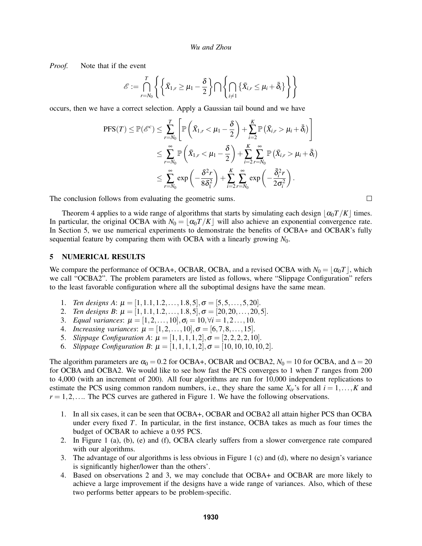*Proof.* Note that if the event

$$
\mathscr{E} := \bigcap_{r=N_0}^T \left\{ \left\{ \bar{X}_{1,r} \geq \mu_1 - \frac{\delta}{2} \right\} \bigcap \left\{ \bigcap_{i \neq 1} \left\{ \bar{X}_{i,r} \leq \mu_i + \bar{\delta}_i \right\} \right\} \right\}
$$

occurs, then we have a correct selection. Apply a Gaussian tail bound and we have

$$
\begin{split} \mathrm{PFS}(T) \leq \mathbb{P}(\mathscr{E}^c) \leq \sum_{r=N_0}^T \left[ \mathbb{P}\left(\bar{X}_{1,r} < \mu_1 - \frac{\delta}{2}\right) + \sum_{i=2}^K \mathbb{P}\left(\bar{X}_{i,r} > \mu_i + \bar{\delta}_i\right) \right] \\ \leq \sum_{r=N_0}^{\infty} \mathbb{P}\left(\bar{X}_{1,r} < \mu_1 - \frac{\delta}{2}\right) + \sum_{i=2}^K \sum_{r=N_0}^{\infty} \mathbb{P}\left(\bar{X}_{i,r} > \mu_i + \bar{\delta}_i\right) \\ \leq \sum_{r=N_0}^{\infty} \exp\left(-\frac{\delta^2 r}{8\delta_1^2}\right) + \sum_{i=2}^K \sum_{r=N_0}^{\infty} \exp\left(-\frac{\bar{\delta}_i^2 r}{2\sigma_i^2}\right). \end{split}
$$

The conclusion follows from evaluating the geometric sums.

Theorem 4 applies to a wide range of algorithms that starts by simulating each design  $\left\lfloor \alpha_0 T/K \right\rfloor$  times. In particular, the original OCBA with  $N_0 = \lfloor \alpha_0 T/K \rfloor$  will also achieve an exponential convergence rate. In Section 5, we use numerical experiments to demonstrate the benefits of OCBA+ and OCBAR's fully sequential feature by comparing them with OCBA with a linearly growing *N*0.

# 5 NUMERICAL RESULTS

We compare the performance of OCBA+, OCBAR, OCBA, and a revised OCBA with  $N_0 = |\alpha_0 T|$ , which we call "OCBA2". The problem parameters are listed as follows, where "Slippage Configuration" refers to the least favorable configuration where all the suboptimal designs have the same mean.

- 1. *Ten designs A*:  $\mu = [1, 1.1, 1.2, \ldots, 1.8, 5], \sigma = [5, 5, \ldots, 5, 20].$
- 2. *Ten designs B*:  $\mu = [1, 1.1, 1.2, \ldots, 1.8, 5], \sigma = [20, 20, \ldots, 20, 5].$
- 3. *Equal variances*:  $\mu = [1, 2, \ldots, 10], \sigma_i = 10, \forall i = 1, 2, \ldots, 10.$
- 4. *Increasing variances*:  $\mu = [1, 2, ..., 10], \sigma = [6, 7, 8, ..., 15].$
- 5. *Slippage Configuration A*:  $\mu = [1, 1, 1, 1, 2], \sigma = [2, 2, 2, 2, 10].$
- 6. *Slippage Configuration B*:  $\mu = [1, 1, 1, 1, 2], \sigma = [10, 10, 10, 10, 2].$

The algorithm parameters are  $\alpha_0 = 0.2$  for OCBA+, OCBAR and OCBA2,  $N_0 = 10$  for OCBA, and  $\Delta = 20$ for OCBA and OCBA2. We would like to see how fast the PCS converges to 1 when *T* ranges from 200 to 4,000 (with an increment of 200). All four algorithms are run for 10,000 independent replications to estimate the PCS using common random numbers, i.e., they share the same  $X_i$ <sup>r</sup>'s for all  $i = 1, \ldots, K$  and  $r = 1, 2, \ldots$  The PCS curves are gathered in Figure 1. We have the following observations.

- 1. In all six cases, it can be seen that OCBA+, OCBAR and OCBA2 all attain higher PCS than OCBA under every fixed *T*. In particular, in the first instance, OCBA takes as much as four times the budget of OCBAR to achieve a 0.95 PCS.
- 2. In Figure 1 (a), (b), (e) and (f), OCBA clearly suffers from a slower convergence rate compared with our algorithms.
- 3. The advantage of our algorithms is less obvious in Figure 1 (c) and (d), where no design's variance is significantly higher/lower than the others'.
- 4. Based on observations 2 and 3, we may conclude that OCBA+ and OCBAR are more likely to achieve a large improvement if the designs have a wide range of variances. Also, which of these two performs better appears to be problem-specific.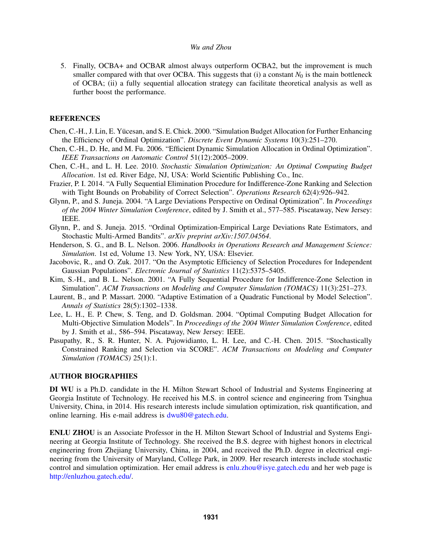5. Finally, OCBA+ and OCBAR almost always outperform OCBA2, but the improvement is much smaller compared with that over OCBA. This suggests that  $(i)$  a constant  $N_0$  is the main bottleneck of OCBA; (ii) a fully sequential allocation strategy can facilitate theoretical analysis as well as further boost the performance.

### **REFERENCES**

- Chen, C.-H., J. Lin, E. Yucesan, and S. E. Chick. 2000. "Simulation Budget Allocation for Further Enhancing ¨ the Efficiency of Ordinal Optimization". *Discrete Event Dynamic Systems* 10(3):251–270.
- Chen, C.-H., D. He, and M. Fu. 2006. "Efficient Dynamic Simulation Allocation in Ordinal Optimization". *IEEE Transactions on Automatic Control* 51(12):2005–2009.
- Chen, C.-H., and L. H. Lee. 2010. *Stochastic Simulation Optimization: An Optimal Computing Budget Allocation*. 1st ed. River Edge, NJ, USA: World Scientific Publishing Co., Inc.
- Frazier, P. I. 2014. "A Fully Sequential Elimination Procedure for Indifference-Zone Ranking and Selection with Tight Bounds on Probability of Correct Selection". *Operations Research* 62(4):926–942.
- Glynn, P., and S. Juneja. 2004. "A Large Deviations Perspective on Ordinal Optimization". In *Proceedings of the 2004 Winter Simulation Conference*, edited by J. Smith et al., 577–585. Piscataway, New Jersey: IEEE.
- Glynn, P., and S. Juneja. 2015. "Ordinal Optimization-Empirical Large Deviations Rate Estimators, and Stochastic Multi-Armed Bandits". *arXiv preprint arXiv:1507.04564*.
- Henderson, S. G., and B. L. Nelson. 2006. *Handbooks in Operations Research and Management Science: Simulation*. 1st ed, Volume 13. New York, NY, USA: Elsevier.
- Jacobovic, R., and O. Zuk. 2017. "On the Asymptotic Efficiency of Selection Procedures for Independent Gaussian Populations". *Electronic Journal of Statistics* 11(2):5375–5405.
- Kim, S.-H., and B. L. Nelson. 2001. "A Fully Sequential Procedure for Indifference-Zone Selection in Simulation". *ACM Transactions on Modeling and Computer Simulation (TOMACS)* 11(3):251–273.
- Laurent, B., and P. Massart. 2000. "Adaptive Estimation of a Quadratic Functional by Model Selection". *Annals of Statistics* 28(5):1302–1338.
- Lee, L. H., E. P. Chew, S. Teng, and D. Goldsman. 2004. "Optimal Computing Budget Allocation for Multi-Objective Simulation Models". In *Proceedings of the 2004 Winter Simulation Conference*, edited by J. Smith et al., 586–594. Piscataway, New Jersey: IEEE.
- Pasupathy, R., S. R. Hunter, N. A. Pujowidianto, L. H. Lee, and C.-H. Chen. 2015. "Stochastically Constrained Ranking and Selection via SCORE". *ACM Transactions on Modeling and Computer Simulation (TOMACS)* 25(1):1.

# AUTHOR BIOGRAPHIES

DI WU is a Ph.D. candidate in the H. Milton Stewart School of Industrial and Systems Engineering at Georgia Institute of Technology. He received his M.S. in control science and engineering from Tsinghua University, China, in 2014. His research interests include simulation optimization, risk quantification, and online learning. His e-mail address is dwu80@gatech.edu.

ENLU ZHOU is an Associate Professor in the H. Milton Stewart School of Industrial and Systems Engineering at Georgia Institute of Technology. She received the B.S. degree with highest honors in electrical engineering from Zhejiang University, China, in 2004, and received the Ph.D. degree in electrical engineering from the University of Maryland, College Park, in 2009. Her research interests include stochastic control and simulation optimization. Her email address is enlu.zhou@isye.gatech.edu and her web page is http://enluzhou.gatech.edu/.